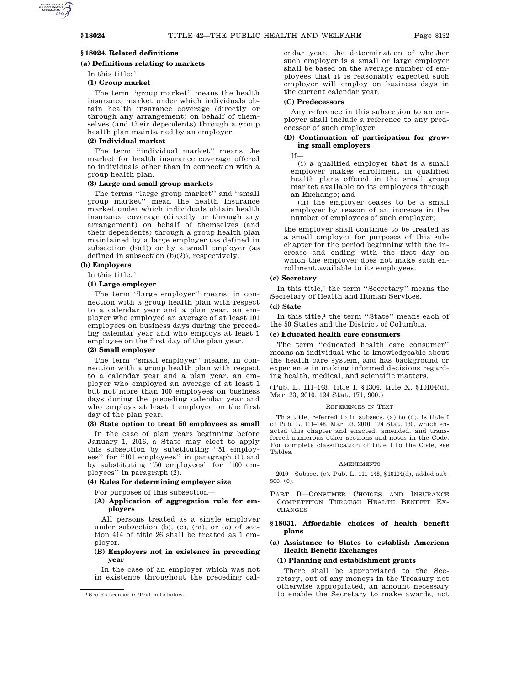#### **§ 18024. Related definitions**

#### **(a) Definitions relating to markets**

In this title: 1

# **(1) Group market**

The term ''group market'' means the health insurance market under which individuals obtain health insurance coverage (directly or through any arrangement) on behalf of themselves (and their dependents) through a group health plan maintained by an employer.

## **(2) Individual market**

The term ''individual market'' means the market for health insurance coverage offered to individuals other than in connection with a group health plan.

# **(3) Large and small group markets**

The terms ''large group market'' and ''small group market'' mean the health insurance market under which individuals obtain health insurance coverage (directly or through any arrangement) on behalf of themselves (and their dependents) through a group health plan maintained by a large employer (as defined in subsection  $(b)(1)$  or by a small employer (as defined in subsection  $(b)(2)$ , respectively.

# **(b) Employers**

In this title:  $\!1}$ 

#### **(1) Large employer**

The term "large employer" means, in connection with a group health plan with respect to a calendar year and a plan year, an employer who employed an average of at least 101 employees on business days during the preceding calendar year and who employs at least 1 employee on the first day of the plan year.

# **(2) Small employer**

The term ''small employer'' means, in connection with a group health plan with respect to a calendar year and a plan year, an employer who employed an average of at least 1 but not more than 100 employees on business days during the preceding calendar year and who employs at least 1 employee on the first day of the plan year.

## **(3) State option to treat 50 employees as small**

In the case of plan years beginning before January 1, 2016, a State may elect to apply this subsection by substituting ''51 employees'' for ''101 employees'' in paragraph (1) and by substituting ''50 employees'' for ''100 employees'' in paragraph (2).

#### **(4) Rules for determining employer size**

For purposes of this subsection—

#### **(A) Application of aggregation rule for employers**

All persons treated as a single employer under subsection (b), (c), (m), or (*o*) of section 414 of title 26 shall be treated as 1 employer.

## **(B) Employers not in existence in preceding year**

In the case of an employer which was not in existence throughout the preceding calendar year, the determination of whether such employer is a small or large employer shall be based on the average number of employees that it is reasonably expected such employer will employ on business days in the current calendar year.

#### **(C) Predecessors**

Any reference in this subsection to an employer shall include a reference to any predecessor of such employer.

# **(D) Continuation of participation for growing small employers**

If—

(i) a qualified employer that is a small employer makes enrollment in qualified health plans offered in the small group market available to its employees through an Exchange; and

(ii) the employer ceases to be a small employer by reason of an increase in the number of employees of such employer;

the employer shall continue to be treated as a small employer for purposes of this subchapter for the period beginning with the increase and ending with the first day on which the employer does not make such enrollment available to its employees.

#### **(c) Secretary**

In this title, $1$  the term "Secretary" means the Secretary of Health and Human Services.

## **(d) State**

In this title,<sup>1</sup> the term "State" means each of the 50 States and the District of Columbia.

#### **(e) Educated health care consumers**

The term ''educated health care consumer'' means an individual who is knowledgeable about the health care system, and has background or experience in making informed decisions regarding health, medical, and scientific matters.

(Pub. L. 111–148, title I, §1304, title X, §10104(d), Mar. 23, 2010, 124 Stat. 171, 900.)

#### REFERENCES IN TEXT

This title, referred to in subsecs. (a) to (d), is title I of Pub. L. 111–148, Mar. 23, 2010, 124 Stat. 130, which enacted this chapter and enacted, amended, and transferred numerous other sections and notes in the Code. For complete classification of title I to the Code, see Tables.

#### **AMENDMENTS**

2010—Subsec. (e). Pub. L. 111–148, §10104(d), added subsec. (e).

- PART B—CONSUMER CHOICES AND INSURANCE COMPETITION THROUGH HEALTH BENEFIT EX-CHANGES
- **§ 18031. Affordable choices of health benefit plans**

# **(a) Assistance to States to establish American Health Benefit Exchanges**

#### **(1) Planning and establishment grants**

There shall be appropriated to the Secretary, out of any moneys in the Treasury not otherwise appropriated, an amount necessary to enable the Secretary to make awards, not

<sup>1</sup>See References in Text note below.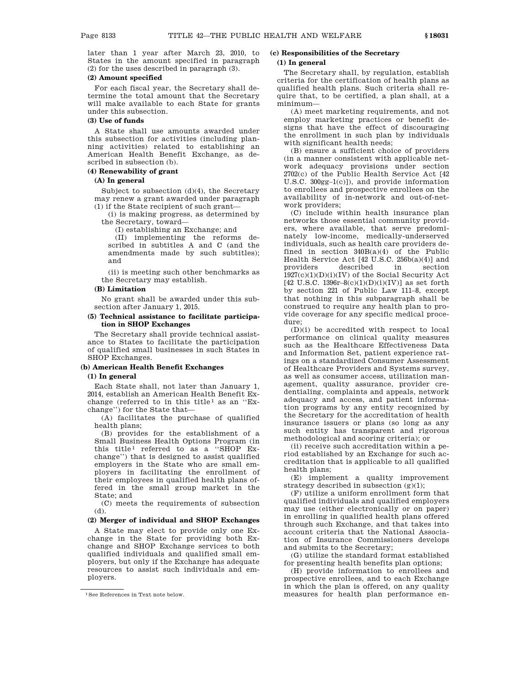later than 1 year after March 23, 2010, to States in the amount specified in paragraph (2) for the uses described in paragraph (3).

# **(2) Amount specified**

For each fiscal year, the Secretary shall determine the total amount that the Secretary will make available to each State for grants under this subsection.

#### **(3) Use of funds**

A State shall use amounts awarded under this subsection for activities (including planning activities) related to establishing an American Health Benefit Exchange, as described in subsection (b).

#### **(4) Renewability of grant**

# **(A) In general**

Subject to subsection (d)(4), the Secretary may renew a grant awarded under paragraph (1) if the State recipient of such grant—

(i) is making progress, as determined by the Secretary, toward—

(I) establishing an Exchange; and

(II) implementing the reforms described in subtitles A and C (and the amendments made by such subtitles); and

(ii) is meeting such other benchmarks as the Secretary may establish.

#### **(B) Limitation**

No grant shall be awarded under this subsection after January 1, 2015.

# **(5) Technical assistance to facilitate participation in SHOP Exchanges**

The Secretary shall provide technical assistance to States to facilitate the participation of qualified small businesses in such States in SHOP Exchanges.

## **(b) American Health Benefit Exchanges**

#### **(1) In general**

Each State shall, not later than January 1, 2014, establish an American Health Benefit Exchange (referred to in this title<sup>1</sup> as an "Exchange'') for the State that—

(A) facilitates the purchase of qualified health plans;

(B) provides for the establishment of a Small Business Health Options Program (in this title<sup>1</sup> referred to as a "SHOP Exchange'') that is designed to assist qualified employers in the State who are small employers in facilitating the enrollment of their employees in qualified health plans offered in the small group market in the State; and

(C) meets the requirements of subsection (d).

# **(2) Merger of individual and SHOP Exchanges**

A State may elect to provide only one Exchange in the State for providing both Exchange and SHOP Exchange services to both qualified individuals and qualified small employers, but only if the Exchange has adequate resources to assist such individuals and employers.

# **(c) Responsibilities of the Secretary**

# **(1) In general**

The Secretary shall, by regulation, establish criteria for the certification of health plans as qualified health plans. Such criteria shall require that, to be certified, a plan shall, at a minimum—

(A) meet marketing requirements, and not employ marketing practices or benefit designs that have the effect of discouraging the enrollment in such plan by individuals with significant health needs;

(B) ensure a sufficient choice of providers (in a manner consistent with applicable network adequacy provisions under section 2702(c) of the Public Health Service Act [42 U.S.C. 300gg–1(c)]), and provide information to enrollees and prospective enrollees on the availability of in-network and out-of-network providers;

(C) include within health insurance plan networks those essential community providers, where available, that serve predominately low-income, medically-underserved individuals, such as health care providers defined in section 340B(a)(4) of the Public Health Service Act [42 U.S.C. 256b(a)(4)] and providers described in section  $1927(c)(1)(D)(i)(IV)$  of the Social Security Act [42 U.S.C. 1396 $r$ –8(c)(1)(D)(i)(IV)] as set forth by section 221 of Public Law 111–8, except that nothing in this subparagraph shall be construed to require any health plan to provide coverage for any specific medical procedure;

(D)(i) be accredited with respect to local performance on clinical quality measures such as the Healthcare Effectiveness Data and Information Set, patient experience ratings on a standardized Consumer Assessment of Healthcare Providers and Systems survey, as well as consumer access, utilization management, quality assurance, provider credentialing, complaints and appeals, network adequacy and access, and patient information programs by any entity recognized by the Secretary for the accreditation of health insurance issuers or plans (so long as any such entity has transparent and rigorous methodological and scoring criteria); or

(ii) receive such accreditation within a period established by an Exchange for such accreditation that is applicable to all qualified health plans;

(E) implement a quality improvement strategy described in subsection  $(g)(1)$ ;

(F) utilize a uniform enrollment form that qualified individuals and qualified employers may use (either electronically or on paper) in enrolling in qualified health plans offered through such Exchange, and that takes into account criteria that the National Association of Insurance Commissioners develops and submits to the Secretary;

(G) utilize the standard format established for presenting health benefits plan options;

(H) provide information to enrollees and prospective enrollees, and to each Exchange in which the plan is offered, on any quality measures for health plan performance en-

<sup>1</sup>See References in Text note below.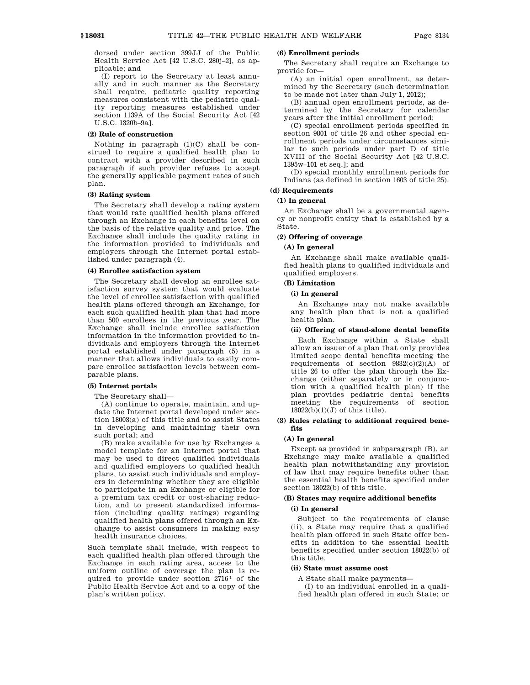dorsed under section 399JJ of the Public Health Service Act [42 U.S.C. 280j–2], as applicable; and

(I) report to the Secretary at least annually and in such manner as the Secretary shall require, pediatric quality reporting measures consistent with the pediatric quality reporting measures established under section 1139A of the Social Security Act [42] U.S.C. 1320b–9a].

## **(2) Rule of construction**

Nothing in paragraph (1)(C) shall be construed to require a qualified health plan to contract with a provider described in such paragraph if such provider refuses to accept the generally applicable payment rates of such plan.

# **(3) Rating system**

The Secretary shall develop a rating system that would rate qualified health plans offered through an Exchange in each benefits level on the basis of the relative quality and price. The Exchange shall include the quality rating in the information provided to individuals and employers through the Internet portal established under paragraph (4).

#### **(4) Enrollee satisfaction system**

The Secretary shall develop an enrollee satisfaction survey system that would evaluate the level of enrollee satisfaction with qualified health plans offered through an Exchange, for each such qualified health plan that had more than 500 enrollees in the previous year. The Exchange shall include enrollee satisfaction information in the information provided to individuals and employers through the Internet portal established under paragraph (5) in a manner that allows individuals to easily compare enrollee satisfaction levels between comparable plans.

#### **(5) Internet portals**

The Secretary shall—

(A) continue to operate, maintain, and update the Internet portal developed under section 18003(a) of this title and to assist States in developing and maintaining their own such portal; and

(B) make available for use by Exchanges a model template for an Internet portal that may be used to direct qualified individuals and qualified employers to qualified health plans, to assist such individuals and employers in determining whether they are eligible to participate in an Exchange or eligible for a premium tax credit or cost-sharing reduction, and to present standardized information (including quality ratings) regarding qualified health plans offered through an Exchange to assist consumers in making easy health insurance choices.

Such template shall include, with respect to each qualified health plan offered through the Exchange in each rating area, access to the uniform outline of coverage the plan is required to provide under section  $2716^1$  of the Public Health Service Act and to a copy of the plan's written policy.

#### **(6) Enrollment periods**

The Secretary shall require an Exchange to provide for—

(A) an initial open enrollment, as determined by the Secretary (such determination to be made not later than July 1, 2012);

(B) annual open enrollment periods, as determined by the Secretary for calendar years after the initial enrollment period;

(C) special enrollment periods specified in section 9801 of title 26 and other special enrollment periods under circumstances similar to such periods under part D of title XVIII of the Social Security Act [42 U.S.C. 1395w–101 et seq.]; and

(D) special monthly enrollment periods for Indians (as defined in section 1603 of title 25).

# **(d) Requirements**

#### **(1) In general**

An Exchange shall be a governmental agency or nonprofit entity that is established by a State.

## **(2) Offering of coverage**

# **(A) In general**

An Exchange shall make available qualified health plans to qualified individuals and qualified employers.

#### **(B) Limitation**

#### **(i) In general**

An Exchange may not make available any health plan that is not a qualified health plan.

## **(ii) Offering of stand-alone dental benefits**

Each Exchange within a State shall allow an issuer of a plan that only provides limited scope dental benefits meeting the requirements of section  $9832(c)(2)(A)$  of title 26 to offer the plan through the Exchange (either separately or in conjunction with a qualified health plan) if the plan provides pediatric dental benefits meeting the requirements of section  $18022(b)(1)(J)$  of this title).

#### **(3) Rules relating to additional required benefits**

#### **(A) In general**

Except as provided in subparagraph (B), an Exchange may make available a qualified health plan notwithstanding any provision of law that may require benefits other than the essential health benefits specified under section 18022(b) of this title.

# **(B) States may require additional benefits (i) In general**

Subject to the requirements of clause (ii), a State may require that a qualified health plan offered in such State offer benefits in addition to the essential health benefits specified under section 18022(b) of this title.

#### **(ii) State must assume cost**

A State shall make payments—

(I) to an individual enrolled in a qualified health plan offered in such State; or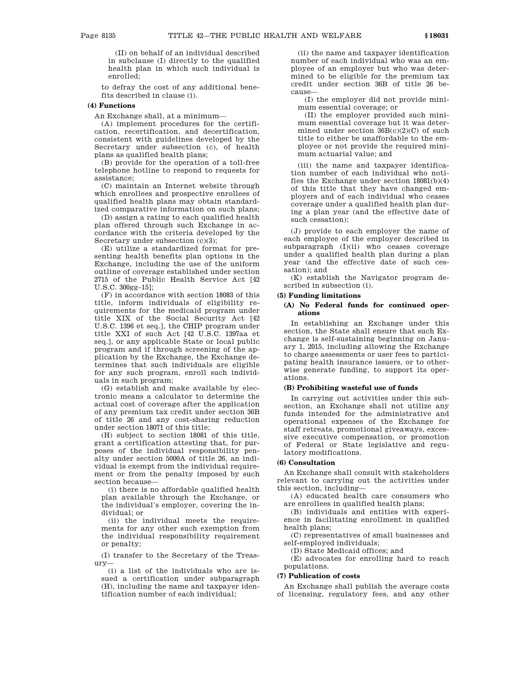(II) on behalf of an individual described in subclause (I) directly to the qualified health plan in which such individual is enrolled;

to defray the cost of any additional benefits described in clause (i).

## **(4) Functions**

An Exchange shall, at a minimum—

(A) implement procedures for the certification, recertification, and decertification, consistent with guidelines developed by the Secretary under subsection (c), of health plans as qualified health plans;

(B) provide for the operation of a toll-free telephone hotline to respond to requests for assistance;

(C) maintain an Internet website through which enrollees and prospective enrollees of qualified health plans may obtain standardized comparative information on such plans;

(D) assign a rating to each qualified health plan offered through such Exchange in accordance with the criteria developed by the Secretary under subsection (c)(3);

(E) utilize a standardized format for presenting health benefits plan options in the Exchange, including the use of the uniform outline of coverage established under section 2715 of the Public Health Service Act [42 U.S.C. 300gg–15];

(F) in accordance with section 18083 of this title, inform individuals of eligibility requirements for the medicaid program under title XIX of the Social Security Act [42 U.S.C. 1396 et seq.], the CHIP program under title XXI of such Act [42 U.S.C. 1397aa et seq.], or any applicable State or local public program and if through screening of the application by the Exchange, the Exchange determines that such individuals are eligible for any such program, enroll such individuals in such program;

(G) establish and make available by electronic means a calculator to determine the actual cost of coverage after the application of any premium tax credit under section 36B of title 26 and any cost-sharing reduction under section 18071 of this title;

(H) subject to section 18081 of this title, grant a certification attesting that, for purposes of the individual responsibility penalty under section 5000A of title 26, an individual is exempt from the individual requirement or from the penalty imposed by such section because—

(i) there is no affordable qualified health plan available through the Exchange, or the individual's employer, covering the individual; or

(ii) the individual meets the requirements for any other such exemption from the individual responsibility requirement or penalty;

(I) transfer to the Secretary of the Treasury—

(i) a list of the individuals who are issued a certification under subparagraph (H), including the name and taxpayer identification number of each individual;

(ii) the name and taxpayer identification number of each individual who was an employee of an employer but who was determined to be eligible for the premium tax credit under section 36B of title 26 because—

(I) the employer did not provide minimum essential coverage; or

(II) the employer provided such minimum essential coverage but it was determined under section  $36B(c)(2)(C)$  of such title to either be unaffordable to the employee or not provide the required minimum actuarial value; and

(iii) the name and taxpayer identification number of each individual who notifies the Exchange under section 18081(b)(4) of this title that they have changed employers and of each individual who ceases coverage under a qualified health plan during a plan year (and the effective date of such cessation);

(J) provide to each employer the name of each employee of the employer described in subparagraph (I)(ii) who ceases coverage under a qualified health plan during a plan year (and the effective date of such cessation); and

(K) establish the Navigator program described in subsection (i).

#### **(5) Funding limitations**

## **(A) No Federal funds for continued operations**

In establishing an Exchange under this section, the State shall ensure that such Exchange is self-sustaining beginning on January 1, 2015, including allowing the Exchange to charge assessments or user fees to participating health insurance issuers, or to otherwise generate funding, to support its operations.

# **(B) Prohibiting wasteful use of funds**

In carrying out activities under this subsection, an Exchange shall not utilize any funds intended for the administrative and operational expenses of the Exchange for staff retreats, promotional giveaways, excessive executive compensation, or promotion of Federal or State legislative and regulatory modifications.

#### **(6) Consultation**

An Exchange shall consult with stakeholders relevant to carrying out the activities under this section, including—

(A) educated health care consumers who are enrollees in qualified health plans;

(B) individuals and entities with experience in facilitating enrollment in qualified health plans;

(C) representatives of small businesses and self-employed individuals;

(D) State Medicaid offices; and

(E) advocates for enrolling hard to reach populations.

#### **(7) Publication of costs**

An Exchange shall publish the average costs of licensing, regulatory fees, and any other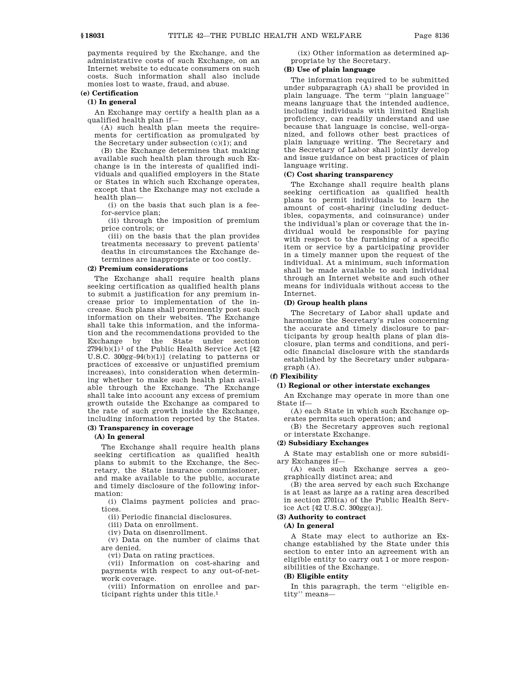payments required by the Exchange, and the administrative costs of such Exchange, on an Internet website to educate consumers on such costs. Such information shall also include monies lost to waste, fraud, and abuse.

# **(e) Certification**

# **(1) In general**

An Exchange may certify a health plan as a qualified health plan if—

(A) such health plan meets the requirements for certification as promulgated by the Secretary under subsection (c)(1); and

(B) the Exchange determines that making available such health plan through such Exchange is in the interests of qualified individuals and qualified employers in the State or States in which such Exchange operates, except that the Exchange may not exclude a health plan—

(i) on the basis that such plan is a feefor-service plan;

(ii) through the imposition of premium price controls; or

(iii) on the basis that the plan provides treatments necessary to prevent patients' deaths in circumstances the Exchange determines are inappropriate or too costly.

#### **(2) Premium considerations**

The Exchange shall require health plans seeking certification as qualified health plans to submit a justification for any premium increase prior to implementation of the increase. Such plans shall prominently post such information on their websites. The Exchange shall take this information, and the information and the recommendations provided to the Exchange by the State under section  $2794(b)(1)^1$  of the Public Health Service Act [42] U.S.C. 300gg–94(b)(1)] (relating to patterns or practices of excessive or unjustified premium increases), into consideration when determining whether to make such health plan available through the Exchange. The Exchange shall take into account any excess of premium growth outside the Exchange as compared to the rate of such growth inside the Exchange, including information reported by the States.

# **(3) Transparency in coverage**

# **(A) In general**

The Exchange shall require health plans seeking certification as qualified health plans to submit to the Exchange, the Secretary, the State insurance commissioner, and make available to the public, accurate and timely disclosure of the following information:

(i) Claims payment policies and practices.

(ii) Periodic financial disclosures.

(iii) Data on enrollment.

(iv) Data on disenrollment.

(v) Data on the number of claims that are denied.

(vi) Data on rating practices.

(vii) Information on cost-sharing and payments with respect to any out-of-network coverage.

(viii) Information on enrollee and participant rights under this title.1

(ix) Other information as determined appropriate by the Secretary.

# **(B) Use of plain language**

The information required to be submitted under subparagraph (A) shall be provided in plain language. The term ''plain language'' means language that the intended audience, including individuals with limited English proficiency, can readily understand and use because that language is concise, well-organized, and follows other best practices of plain language writing. The Secretary and the Secretary of Labor shall jointly develop and issue guidance on best practices of plain language writing.

#### **(C) Cost sharing transparency**

The Exchange shall require health plans seeking certification as qualified health plans to permit individuals to learn the amount of cost-sharing (including deductibles, copayments, and coinsurance) under the individual's plan or coverage that the individual would be responsible for paying with respect to the furnishing of a specific item or service by a participating provider in a timely manner upon the request of the individual. At a minimum, such information shall be made available to such individual through an Internet website and such other means for individuals without access to the Internet.

#### **(D) Group health plans**

The Secretary of Labor shall update and harmonize the Secretary's rules concerning the accurate and timely disclosure to participants by group health plans of plan disclosure, plan terms and conditions, and periodic financial disclosure with the standards established by the Secretary under subparagraph (A).

# **(f) Flexibility**

# **(1) Regional or other interstate exchanges**

An Exchange may operate in more than one State if—

(A) each State in which such Exchange operates permits such operation; and

(B) the Secretary approves such regional or interstate Exchange.

## **(2) Subsidiary Exchanges**

A State may establish one or more subsidiary Exchanges if—

(A) each such Exchange serves a geographically distinct area; and

(B) the area served by each such Exchange is at least as large as a rating area described in section 2701(a) of the Public Health Service Act [42 U.S.C. 300gg(a)].

#### **(3) Authority to contract**

**(A) In general**

A State may elect to authorize an Exchange established by the State under this section to enter into an agreement with an eligible entity to carry out 1 or more responsibilities of the Exchange.

# **(B) Eligible entity**

In this paragraph, the term ''eligible entity'' means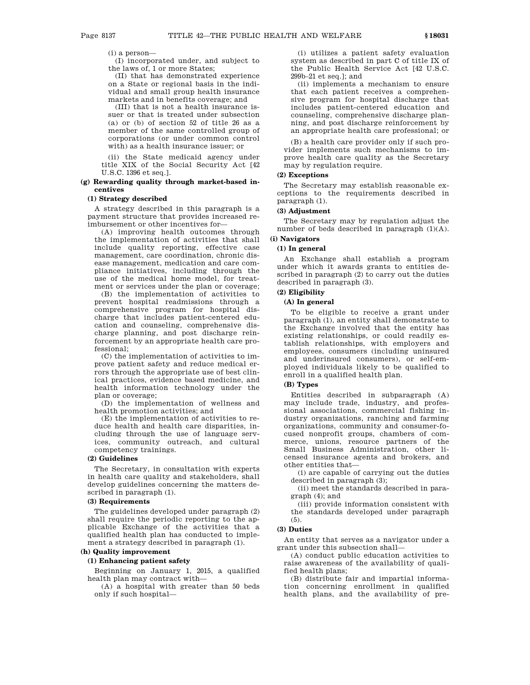(i) a person—

(I) incorporated under, and subject to the laws of, 1 or more States;

(II) that has demonstrated experience on a State or regional basis in the individual and small group health insurance markets and in benefits coverage; and

(III) that is not a health insurance issuer or that is treated under subsection (a) or (b) of section 52 of title 26 as a member of the same controlled group of corporations (or under common control with) as a health insurance issuer; or

(ii) the State medicaid agency under title XIX of the Social Security Act [42 U.S.C. 1396 et seq.].

#### **(g) Rewarding quality through market-based incentives**

## **(1) Strategy described**

A strategy described in this paragraph is a payment structure that provides increased reimbursement or other incentives for—

(A) improving health outcomes through the implementation of activities that shall include quality reporting, effective case management, care coordination, chronic disease management, medication and care compliance initiatives, including through the use of the medical home model, for treatment or services under the plan or coverage;

(B) the implementation of activities to prevent hospital readmissions through a comprehensive program for hospital discharge that includes patient-centered education and counseling, comprehensive discharge planning, and post discharge reinforcement by an appropriate health care professional;

(C) the implementation of activities to improve patient safety and reduce medical errors through the appropriate use of best clinical practices, evidence based medicine, and health information technology under the plan or coverage;

(D) the implementation of wellness and health promotion activities; and

(E) the implementation of activities to reduce health and health care disparities, including through the use of language services, community outreach, and cultural competency trainings.

#### **(2) Guidelines**

The Secretary, in consultation with experts in health care quality and stakeholders, shall develop guidelines concerning the matters described in paragraph (1).

#### **(3) Requirements**

The guidelines developed under paragraph (2) shall require the periodic reporting to the applicable Exchange of the activities that a qualified health plan has conducted to implement a strategy described in paragraph (1).

#### **(h) Quality improvement**

#### **(1) Enhancing patient safety**

Beginning on January 1, 2015, a qualified health plan may contract with—

(A) a hospital with greater than 50 beds only if such hospital—

(i) utilizes a patient safety evaluation system as described in part C of title IX of the Public Health Service Act [42 U.S.C. 299b–21 et seq.]; and

(ii) implements a mechanism to ensure that each patient receives a comprehensive program for hospital discharge that includes patient-centered education and counseling, comprehensive discharge planning, and post discharge reinforcement by an appropriate health care professional; or

(B) a health care provider only if such provider implements such mechanisms to improve health care quality as the Secretary may by regulation require.

# **(2) Exceptions**

The Secretary may establish reasonable exceptions to the requirements described in paragraph (1).

#### **(3) Adjustment**

The Secretary may by regulation adjust the number of beds described in paragraph (1)(A). **(i) Navigators**

## **(1) In general**

An Exchange shall establish a program under which it awards grants to entities described in paragraph (2) to carry out the duties described in paragraph (3).

# **(2) Eligibility**

#### **(A) In general**

To be eligible to receive a grant under paragraph (1), an entity shall demonstrate to the Exchange involved that the entity has existing relationships, or could readily establish relationships, with employers and employees, consumers (including uninsured and underinsured consumers), or self-employed individuals likely to be qualified to enroll in a qualified health plan.

#### **(B) Types**

Entities described in subparagraph (A) may include trade, industry, and professional associations, commercial fishing industry organizations, ranching and farming organizations, community and consumer-focused nonprofit groups, chambers of commerce, unions, resource partners of the Small Business Administration, other licensed insurance agents and brokers, and other entities that—

(i) are capable of carrying out the duties described in paragraph (3);

(ii) meet the standards described in paragraph (4); and

(iii) provide information consistent with the standards developed under paragraph (5).

#### **(3) Duties**

An entity that serves as a navigator under a grant under this subsection shall—

(A) conduct public education activities to raise awareness of the availability of qualified health plans;

(B) distribute fair and impartial information concerning enrollment in qualified health plans, and the availability of pre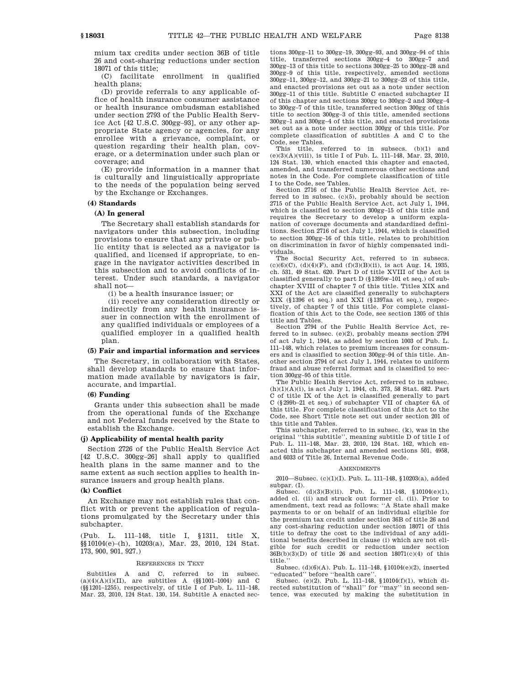mium tax credits under section 36B of title 26 and cost-sharing reductions under section 18071 of this title;

(C) facilitate enrollment in qualified health plans;

(D) provide referrals to any applicable office of health insurance consumer assistance or health insurance ombudsman established under section 2793 of the Public Health Service Act [42 U.S.C. 300gg–93], or any other appropriate State agency or agencies, for any enrollee with a grievance, complaint, or question regarding their health plan, coverage, or a determination under such plan or coverage; and

(E) provide information in a manner that is culturally and linguistically appropriate to the needs of the population being served by the Exchange or Exchanges.

# **(4) Standards**

#### **(A) In general**

The Secretary shall establish standards for navigators under this subsection, including provisions to ensure that any private or public entity that is selected as a navigator is qualified, and licensed if appropriate, to engage in the navigator activities described in this subsection and to avoid conflicts of interest. Under such standards, a navigator shall not—

(i) be a health insurance issuer; or

(ii) receive any consideration directly or indirectly from any health insurance issuer in connection with the enrollment of any qualified individuals or employees of a qualified employer in a qualified health plan.

#### **(5) Fair and impartial information and services**

The Secretary, in collaboration with States, shall develop standards to ensure that information made available by navigators is fair, accurate, and impartial.

#### **(6) Funding**

Grants under this subsection shall be made from the operational funds of the Exchange and not Federal funds received by the State to establish the Exchange.

## **(j) Applicability of mental health parity**

Section 2726 of the Public Health Service Act [42 U.S.C. 300gg–26] shall apply to qualified health plans in the same manner and to the same extent as such section applies to health insurance issuers and group health plans.

#### **(k) Conflict**

An Exchange may not establish rules that conflict with or prevent the application of regulations promulgated by the Secretary under this subchapter.

(Pub. L. 111–148, title I, §1311, title X, §§10104(e)–(h), 10203(a), Mar. 23, 2010, 124 Stat. 173, 900, 901, 927.)

#### REFERENCES IN TEXT

Subtitles A and C, referred to in subsec.  $(a)(4)(A)(i)(II)$ , are subtitles A  $(\S \S 1001-1004)$  and C (§§1201–1255), respectively, of title I of Pub. L. 111–148, Mar. 23, 2010, 124 Stat. 130, 154. Subtitle A enacted sections 300gg–11 to 300gg–19, 300gg–93, and 300gg–94 of this title, transferred sections 300gg–4 to 300gg–7 and 300gg–13 of this title to sections 300gg–25 to 300gg–28 and 300gg–9 of this title, respectively, amended sections 300gg–11, 300gg–12, and 300gg–21 to 300gg–23 of this title, and enacted provisions set out as a note under section 300gg–11 of this title. Subtitle C enacted subchapter II of this chapter and sections 300gg to 300gg–2 and 300gg–4 to 300gg–7 of this title, transferred section 300gg of this title to section 300gg–3 of this title, amended sections 300gg–1 and 300gg–4 of this title, and enacted provisions set out as a note under section 300gg of this title. For complete classification of subtitles A and C to the Code, see Tables.

This title, referred to in subsecs. (b)(1) and (e)(3)(A)(viii), is title I of Pub. L. 111–148, Mar. 23, 2010, 124 Stat. 130, which enacted this chapter and enacted, amended, and transferred numerous other sections and notes in the Code. For complete classification of title I to the Code, see Tables.

Section 2716 of the Public Health Service Act, referred to in subsec. (c)(5), probably should be section 2715 of the Public Health Service Act, act July 1, 1944, which is classified to section 300gg–15 of this title and requires the Secretary to develop a uniform explanation of coverage documents and standardized definitions. Section 2716 of act July 1, 1944, which is classified to section 300gg–16 of this title, relates to prohibition on discrimination in favor of highly compensated individuals.

The Social Security Act, referred to in subsecs. (c)(6)(C), (d)(4)(F), and (f)(3)(B)(ii), is act Aug. 14, 1935, ch. 531, 49 Stat. 620. Part D of title XVIII of the Act is classified generally to part D (§1395w–101 et seq.) of subchapter XVIII of chapter 7 of this title. Titles XIX and XXI of the Act are classified generally to subchapters XIX (§1396 et seq.) and XXI (§1397aa et seq.), respectively, of chapter 7 of this title. For complete classification of this Act to the Code, see section 1305 of this title and Tables.

Section 2794 of the Public Health Service Act, referred to in subsec. (e)(2), probably means section 2794 of act July 1, 1944, as added by section 1003 of Pub. L. 111–148, which relates to premium increases for consumers and is classified to section 300gg–94 of this title. Another section 2794 of act July 1, 1944, relates to uniform fraud and abuse referral format and is classified to section 300gg–95 of this title.

The Public Health Service Act, referred to in subsec. (h)(1)(A)(i), is act July 1, 1944, ch. 373, 58 Stat. 682. Part C of title IX of the Act is classified generally to part C (§299b–21 et seq.) of subchapter VII of chapter 6A of this title. For complete classification of this Act to the Code, see Short Title note set out under section 201 of this title and Tables.

This subchapter, referred to in subsec. (k), was in the original ''this subtitle'', meaning subtitle D of title I of Pub. L. 111–148, Mar. 23, 2010, 124 Stat. 162, which enacted this subchapter and amended sections 501, 4958, and 6033 of Title 26, Internal Revenue Code.

#### **AMENDMENTS**

2010—Subsec. (c)(1)(I). Pub. L. 111–148, §10203(a), added subpar. (I).

 $\text{Subsec.}$  (d)(3)(B)(ii). Pub. L. 111–148, §10104(e)(1), added cl. (ii) and struck out former cl. (ii). Prior to amendment, text read as follows: ''A State shall make payments to or on behalf of an individual eligible for the premium tax credit under section 36B of title 26 and any cost-sharing reduction under section 18071 of this title to defray the cost to the individual of any additional benefits described in clause (i) which are not eligible for such credit or reduction under section 36B(b)(3)(D) of title 26 and section 18071(c)(4) of this title.''

Subsec. (d)(6)(A). Pub. L. 111–148, §10104(e)(2), inserted 'educated'' before "health care".

Subsec. (e)(2). Pub. L. 111–148, §10104(f)(1), which directed substitution of ''shall'' for ''may'' in second sentence, was executed by making the substitution in